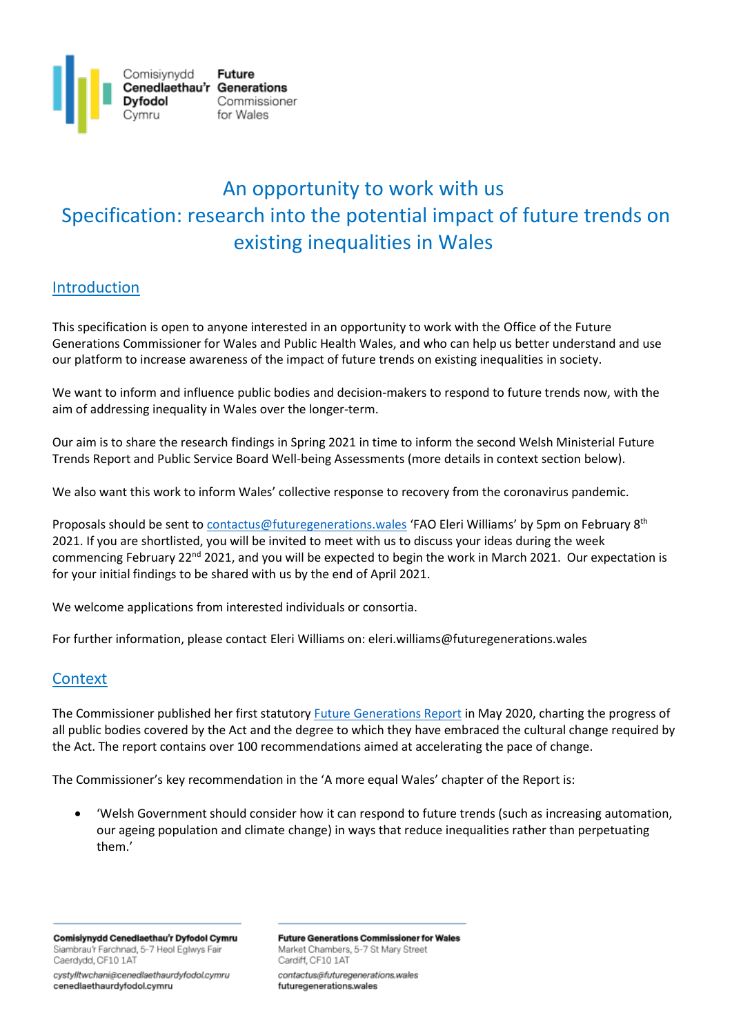

# An opportunity to work with us Specification: research into the potential impact of future trends on existing inequalities in Wales

## Introduction

This specification is open to anyone interested in an opportunity to work with the Office of the Future Generations Commissioner for Wales and Public Health Wales, and who can help us better understand and use our platform to increase awareness of the impact of future trends on existing inequalities in society.

We want to inform and influence public bodies and decision-makers to respond to future trends now, with the aim of addressing inequality in Wales over the longer-term.

Our aim is to share the research findings in Spring 2021 in time to inform the second Welsh Ministerial Future Trends Report and Public Service Board Well-being Assessments (more details in context section below).

We also want this work to inform Wales' collective response to recovery from the coronavirus pandemic.

Proposals should be sent to [contactus@futuregenerations.wales](mailto:contactus@futuregenerations.wales) 'FAO Eleri Williams' by 5pm on February 8<sup>th</sup> 2021. If you are shortlisted, you will be invited to meet with us to discuss your ideas during the week commencing February 22<sup>nd</sup> 2021, and you will be expected to begin the work in March 2021. Our expectation is for your initial findings to be shared with us by the end of April 2021.

We welcome applications from interested individuals or consortia.

For further information, please contact Eleri Williams on: eleri.williams@futuregenerations.wales

## **Context**

The Commissioner published her first statutory [Future Generations Report](https://www.futuregenerations2020.wales/) in May 2020, charting the progress of all public bodies covered by the Act and the degree to which they have embraced the cultural change required by the Act. The report contains over 100 recommendations aimed at accelerating the pace of change.

The Commissioner's key recommendation in the 'A more equal Wales' chapter of the Report is:

• 'Welsh Government should consider how it can respond to future trends (such as increasing automation, our ageing population and climate change) in ways that reduce inequalities rather than perpetuating them.'

Comisiynydd Cenedlaethau'r Dyfodol Cymru Siambrau'r Farchnad, 5-7 Heol Eglwys Fair Caerdydd, CF10 1AT

cystylltwchani@cenedlaethaurdyfodol.cymru cenedlaethaurdyfodol.cymru

**Future Generations Commissioner for Wales** Market Chambers, 5-7 St Mary Street Cardiff, CF10 1AT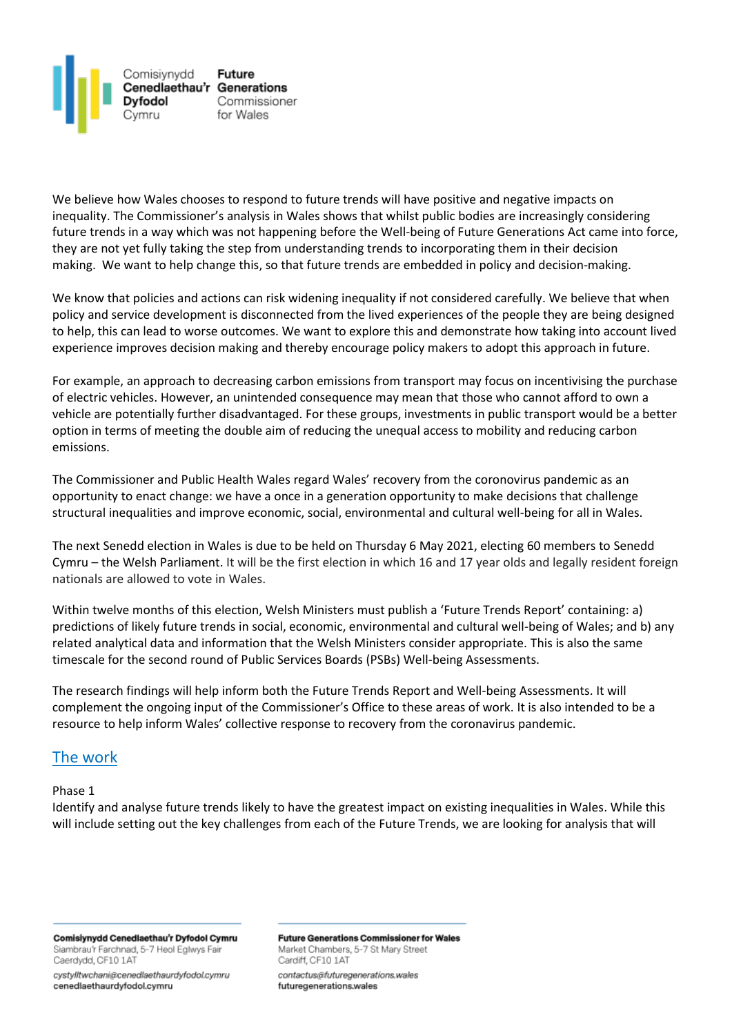

We believe how Wales chooses to respond to future trends will have positive and negative impacts on inequality. The Commissioner's analysis in Wales shows that whilst public bodies are increasingly considering future trends in a way which was not happening before the Well-being of Future Generations Act came into force, they are not yet fully taking the step from understanding trends to incorporating them in their decision making. We want to help change this, so that future trends are embedded in policy and decision-making.

We know that policies and actions can risk widening inequality if not considered carefully. We believe that when policy and service development is disconnected from the lived experiences of the people they are being designed to help, this can lead to worse outcomes. We want to explore this and demonstrate how taking into account lived experience improves decision making and thereby encourage policy makers to adopt this approach in future.

For example, an approach to decreasing carbon emissions from transport may focus on incentivising the purchase of electric vehicles. However, an unintended consequence may mean that those who cannot afford to own a vehicle are potentially further disadvantaged. For these groups, investments in public transport would be a better option in terms of meeting the double aim of reducing the unequal access to mobility and reducing carbon emissions.

The Commissioner and Public Health Wales regard Wales' recovery from the coronovirus pandemic as an opportunity to enact change: we have a once in a generation opportunity to make decisions that challenge structural inequalities and improve economic, social, environmental and cultural well-being for all in Wales.

The next Senedd election in Wales is due to be held on Thursday 6 May 2021, electing 60 members to [Senedd](https://en.wikipedia.org/wiki/Senedd_Cymru_%E2%80%93_Welsh_Parliament)  Cymru – [the Welsh Parliament.](https://en.wikipedia.org/wiki/Senedd_Cymru_%E2%80%93_Welsh_Parliament) It will be the first election in which 16 and 17 year olds and legally resident foreign nationals are allowed to vote in Wales.

Within twelve months of this election, Welsh Ministers must publish a 'Future Trends Report' containing: a) predictions of likely future trends in social, economic, environmental and cultural well-being of Wales; and b) any related analytical data and information that the Welsh Ministers consider appropriate. This is also the same timescale for the second round of Public Services Boards (PSBs) Well-being Assessments.

The research findings will help inform both the Future Trends Report and Well-being Assessments. It will complement the ongoing input of the Commissioner's Office to these areas of work. It is also intended to be a resource to help inform Wales' collective response to recovery from the coronavirus pandemic.

## The work

#### Phase 1

Identify and analyse future trends likely to have the greatest impact on existing inequalities in Wales. While this will include setting out the key challenges from each of the Future Trends, we are looking for analysis that will

Comisiynydd Cenedlaethau'r Dyfodol Cymru Siambrau'r Farchnad, 5-7 Heol Eglwys Fair Caerdydd, CF10 1AT

cystylltwchani@cenedlaethaurdyfodol.cymru cenedlaethaurdyfodol.cymru

**Future Generations Commissioner for Wales** Market Chambers, 5-7 St Mary Street Cardiff, CF10 1AT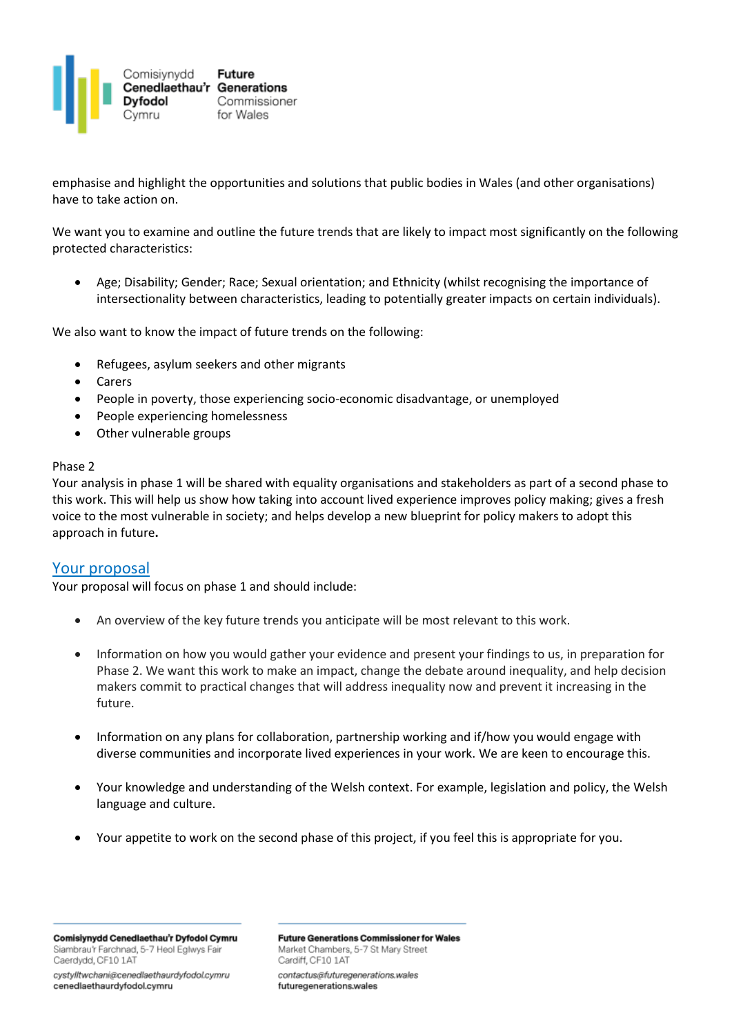

emphasise and highlight the opportunities and solutions that public bodies in Wales (and other organisations) have to take action on.

We want you to examine and outline the future trends that are likely to impact most significantly on the following protected characteristics:

• Age; Disability; Gender; Race; Sexual orientation; and Ethnicity (whilst recognising the importance of intersectionality between characteristics, leading to potentially greater impacts on certain individuals).

We also want to know the impact of future trends on the following:

- Refugees, asylum seekers and other migrants
- Carers
- People in poverty, those experiencing socio-economic disadvantage, or unemployed
- People experiencing homelessness
- Other vulnerable groups

#### Phase 2

Your analysis in phase 1 will be shared with equality organisations and stakeholders as part of a second phase to this work. This will help us show how taking into account lived experience improves policy making; gives a fresh voice to the most vulnerable in society; and helps develop a new blueprint for policy makers to adopt this approach in future**.**

### Your proposal

Your proposal will focus on phase 1 and should include:

- An overview of the key future trends you anticipate will be most relevant to this work.
- Information on how you would gather your evidence and present your findings to us, in preparation for Phase 2. We want this work to make an impact, change the debate around inequality, and help decision makers commit to practical changes that will address inequality now and prevent it increasing in the future.
- Information on any plans for collaboration, partnership working and if/how you would engage with diverse communities and incorporate lived experiences in your work. We are keen to encourage this.
- Your knowledge and understanding of the Welsh context. For example, legislation and policy, the Welsh language and culture.
- Your appetite to work on the second phase of this project, if you feel this is appropriate for you.

Comisiynydd Cenedlaethau'r Dyfodol Cymru Siambrau'r Farchnad, 5-7 Heol Eglwys Fair Caerdydd, CF10 1AT

cystylltwchani@cenedlaethaurdyfodol.cymru cenedlaethaurdyfodol.cymru

**Future Generations Commissioner for Wales** Market Chambers, 5-7 St Mary Street Cardiff, CF10 1AT